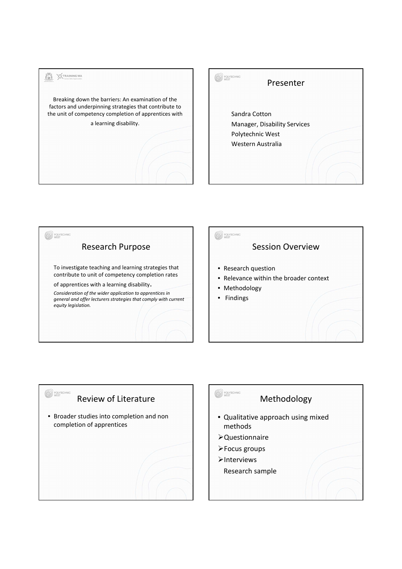

| <b>DLYTECHNIC</b><br>Presenter                                                         |
|----------------------------------------------------------------------------------------|
| Sandra Cotton<br>Manager, Disability Services<br>Polytechnic West<br>Western Australia |





# POLYTECHNIC

#### Methodology

- Qualitative approach using mixed methods
- Questionnaire
- Focus groups
- $\blacktriangleright$ Interviews
	- Research sample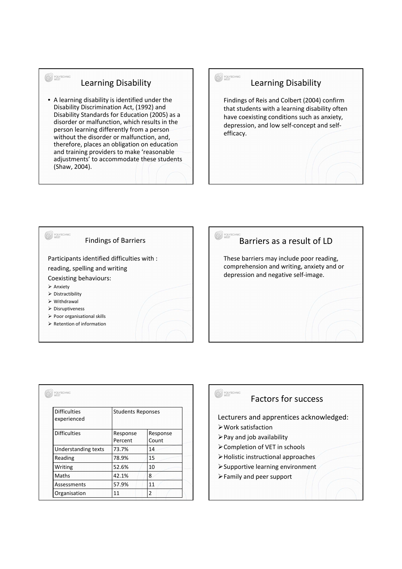### Learning Disability

POLYTECHNIC

• A learning disability is identified under the Disability Discrimination Act, (1992) and Disability Standards for Education (2005) as a disorder or malfunction, which results in the person learning differently from a person without the disorder or malfunction, and, therefore, places an obligation on education and training providers to make 'reasonable adjustments' to accommodate these students (Shaw, 2004).

#### Learning Disability

POLYTECHNIC

Findings of Reis and Colbert (2004) confirm that students with a learning disability often have coexisting conditions such as anxiety, depression, and low self-concept and selfefficacy.





| <b>Difficulties</b><br>experienced | <b>Students Reponses</b> |                   |
|------------------------------------|--------------------------|-------------------|
| <b>Difficulties</b>                | Response<br>Percent      | Response<br>Count |
| Understanding texts                | 73.7%                    | 14                |
| Reading                            | 78.9%                    | 15                |
| Writing                            | 52.6%                    | 10                |
| Maths                              | 42.1%                    | 8                 |
| Assessments                        | 57.9%                    | 11                |
| Organisation                       | 11                       | $\overline{2}$    |

## POLYTECHNIC

#### Factors for success

Lecturers and apprentices acknowledged:

- Work satisfaction
- $\triangleright$  Pay and job availability
- Completion of VET in schools
- Holistic instructional approaches
- Supportive learning environment
- Family and peer support